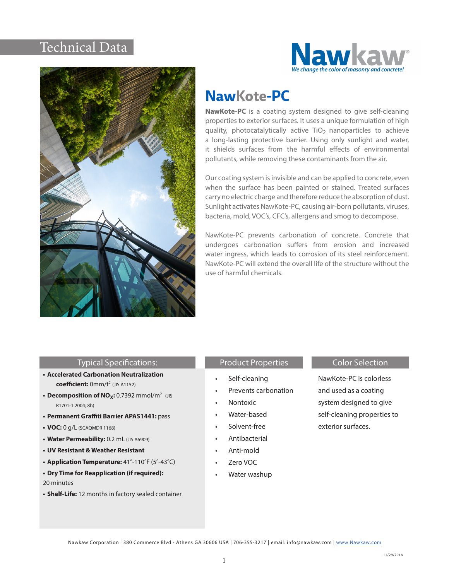# Technical Data





# **NawKote-PC**

**NawKote-PC** is a coating system designed to give self-cleaning properties to exterior surfaces. It uses a unique formulation of high quality, photocatalytically active  $TiO<sub>2</sub>$  nanoparticles to achieve a long-lasting protective barrier. Using only sunlight and water, it shields surfaces from the harmful effects of environmental pollutants, while removing these contaminants from the air.

Our coating system is invisible and can be applied to concrete, even when the surface has been painted or stained. Treated surfaces carry no electric charge and therefore reduce the absorption of dust. Sunlight activates NawKote-PC, causing air-born pollutants, viruses, bacteria, mold, VOC's, CFC's, allergens and smog to decompose.

NawKote-PC prevents carbonation of concrete. Concrete that undergoes carbonation suffers from erosion and increased water ingress, which leads to corrosion of its steel reinforcement. NawKote-PC will extend the overall life of the structure without the use of harmful chemicals.

#### Typical Specifications:

- **• Accelerated Carbonation Neutralization coefficient:** 0mm/t2 (JIS A1152)
- **Decomposition of NO<sub>X</sub>:** 0.7392 mmol/m<sup>2</sup> (JIS R1701-1:2004; 8h)
- **• Permanent Graffiti Barrier APAS1441:** pass
- **• VOC:** 0 g/L (SCAQMDR 1168)
- **• Water Permeability:** 0.2 mL (JIS A6909)
- **• UV Resistant & Weather Resistant**
- **• Application Temperature:** 41°-110°F (5°-43°C)
- **• Dry Time for Reapplication (if required):** 20 minutes
- **• Shelf-Life:** 12 months in factory sealed container

## Product Properties **Color Selection**

- Self-cleaning
- Prevents carbonation
- Nontoxic
- Water-based
- Solvent-free
- Antibacterial
- Anti-mold
- Zero VOC
- Water washup

NawKote-PC is colorless and used as a coating system designed to give self-cleaning properties to exterior surfaces.